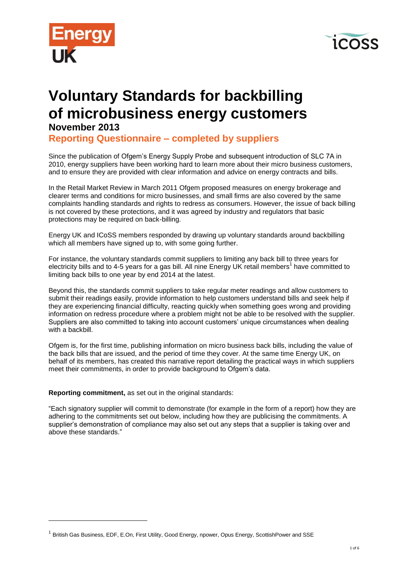



# **Voluntary Standards for backbilling of microbusiness energy customers**

# **November 2013**

 $\overline{a}$ 

**Reporting Questionnaire – completed by suppliers**

Since the publication of Ofgem's Energy Supply Probe and subsequent introduction of SLC 7A in 2010, energy suppliers have been working hard to learn more about their micro business customers, and to ensure they are provided with clear information and advice on energy contracts and bills.

In the Retail Market Review in March 2011 Ofgem proposed measures on energy brokerage and clearer terms and conditions for micro businesses, and small firms are also covered by the same complaints handling standards and rights to redress as consumers. However, the issue of back billing is not covered by these protections, and it was agreed by industry and regulators that basic protections may be required on back-billing.

Energy UK and ICoSS members responded by drawing up voluntary standards around backbilling which all members have signed up to, with some going further.

For instance, the voluntary standards commit suppliers to limiting any back bill to three years for electricity bills and to 4-5 years for a gas bill. All nine Energy UK retail members<sup>1</sup> have committed to limiting back bills to one year by end 2014 at the latest.

Beyond this, the standards commit suppliers to take regular meter readings and allow customers to submit their readings easily, provide information to help customers understand bills and seek help if they are experiencing financial difficulty, reacting quickly when something goes wrong and providing information on redress procedure where a problem might not be able to be resolved with the supplier. Suppliers are also committed to taking into account customers' unique circumstances when dealing with a backbill.

Ofgem is, for the first time, publishing information on micro business back bills, including the value of the back bills that are issued, and the period of time they cover. At the same time Energy UK, on behalf of its members, has created this narrative report detailing the practical ways in which suppliers meet their commitments, in order to provide background to Ofgem's data.

**Reporting commitment,** as set out in the original standards:

"Each signatory supplier will commit to demonstrate (for example in the form of a report) how they are adhering to the commitments set out below, including how they are publicising the commitments. A supplier's demonstration of compliance may also set out any steps that a supplier is taking over and above these standards."

<sup>&</sup>lt;sup>1</sup> British Gas Business, EDF, E.On, First Utility, Good Energy, npower, Opus Energy, ScottishPower and SSE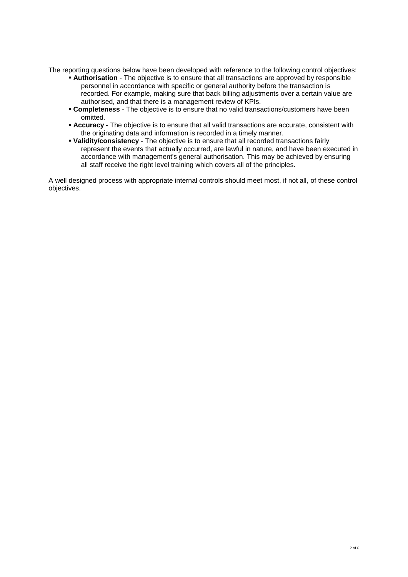The reporting questions below have been developed with reference to the following control objectives:

- **Authorisation** The objective is to ensure that all transactions are approved by responsible personnel in accordance with specific or general authority before the transaction is recorded. For example, making sure that back billing adjustments over a certain value are authorised, and that there is a management review of KPIs.
- **Completeness** The objective is to ensure that no valid transactions/customers have been omitted.
- **Accuracy** The objective is to ensure that all valid transactions are accurate, consistent with the originating data and information is recorded in a timely manner.
- **Validity/consistency** The objective is to ensure that all recorded transactions fairly represent the events that actually occurred, are lawful in nature, and have been executed in accordance with management's general authorisation. This may be achieved by ensuring all staff receive the right level training which covers all of the principles.

A well designed process with appropriate internal controls should meet most, if not all, of these control objectives.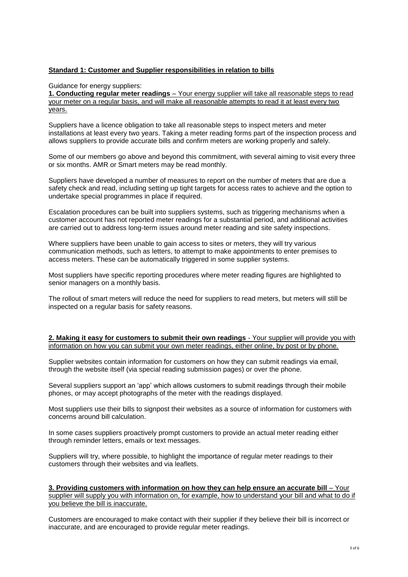# **Standard 1: Customer and Supplier responsibilities in relation to bills**

Guidance for energy suppliers:

**1. Conducting regular meter readings** – Your energy supplier will take all reasonable steps to read your meter on a regular basis, and will make all reasonable attempts to read it at least every two years.

Suppliers have a licence obligation to take all reasonable steps to inspect meters and meter installations at least every two years. Taking a meter reading forms part of the inspection process and allows suppliers to provide accurate bills and confirm meters are working properly and safely.

Some of our members go above and beyond this commitment, with several aiming to visit every three or six months. AMR or Smart meters may be read monthly.

Suppliers have developed a number of measures to report on the number of meters that are due a safety check and read, including setting up tight targets for access rates to achieve and the option to undertake special programmes in place if required.

Escalation procedures can be built into suppliers systems, such as triggering mechanisms when a customer account has not reported meter readings for a substantial period, and additional activities are carried out to address long-term issues around meter reading and site safety inspections.

Where suppliers have been unable to gain access to sites or meters, they will try various communication methods, such as letters, to attempt to make appointments to enter premises to access meters. These can be automatically triggered in some supplier systems.

Most suppliers have specific reporting procedures where meter reading figures are highlighted to senior managers on a monthly basis.

The rollout of smart meters will reduce the need for suppliers to read meters, but meters will still be inspected on a regular basis for safety reasons.

#### **2. Making it easy for customers to submit their own readings** - Your supplier will provide you with information on how you can submit your own meter readings, either online, by post or by phone.

Supplier websites contain information for customers on how they can submit readings via email, through the website itself (via special reading submission pages) or over the phone.

Several suppliers support an 'app' which allows customers to submit readings through their mobile phones, or may accept photographs of the meter with the readings displayed.

Most suppliers use their bills to signpost their websites as a source of information for customers with concerns around bill calculation.

In some cases suppliers proactively prompt customers to provide an actual meter reading either through reminder letters, emails or text messages.

Suppliers will try, where possible, to highlight the importance of regular meter readings to their customers through their websites and via leaflets.

**3. Providing customers with information on how they can help ensure an accurate bill** – Your supplier will supply you with information on, for example, how to understand your bill and what to do if you believe the bill is inaccurate.

Customers are encouraged to make contact with their supplier if they believe their bill is incorrect or inaccurate, and are encouraged to provide regular meter readings.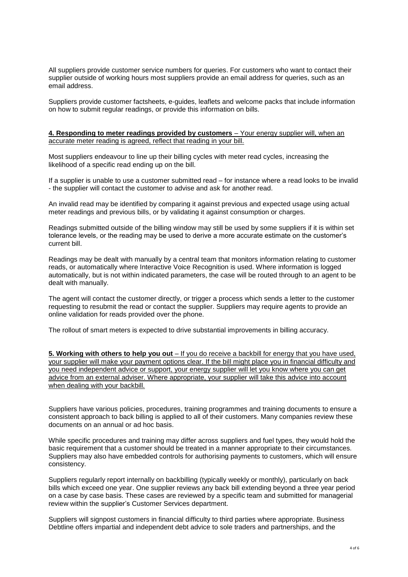All suppliers provide customer service numbers for queries. For customers who want to contact their supplier outside of working hours most suppliers provide an email address for queries, such as an email address.

Suppliers provide customer factsheets, e-guides, leaflets and welcome packs that include information on how to submit regular readings, or provide this information on bills.

### **4. Responding to meter readings provided by customers** – Your energy supplier will, when an accurate meter reading is agreed, reflect that reading in your bill.

Most suppliers endeavour to line up their billing cycles with meter read cycles, increasing the likelihood of a specific read ending up on the bill.

If a supplier is unable to use a customer submitted read – for instance where a read looks to be invalid - the supplier will contact the customer to advise and ask for another read.

An invalid read may be identified by comparing it against previous and expected usage using actual meter readings and previous bills, or by validating it against consumption or charges.

Readings submitted outside of the billing window may still be used by some suppliers if it is within set tolerance levels, or the reading may be used to derive a more accurate estimate on the customer's current bill.

Readings may be dealt with manually by a central team that monitors information relating to customer reads, or automatically where Interactive Voice Recognition is used. Where information is logged automatically, but is not within indicated parameters, the case will be routed through to an agent to be dealt with manually.

The agent will contact the customer directly, or trigger a process which sends a letter to the customer requesting to resubmit the read or contact the supplier. Suppliers may require agents to provide an online validation for reads provided over the phone.

The rollout of smart meters is expected to drive substantial improvements in billing accuracy.

**5. Working with others to help you out** – If you do receive a backbill for energy that you have used, your supplier will make your payment options clear. If the bill might place you in financial difficulty and you need independent advice or support, your energy supplier will let you know where you can get advice from an external adviser. Where appropriate, your supplier will take this advice into account when dealing with your backbill.

Suppliers have various policies, procedures, training programmes and training documents to ensure a consistent approach to back billing is applied to all of their customers. Many companies review these documents on an annual or ad hoc basis.

While specific procedures and training may differ across suppliers and fuel types, they would hold the basic requirement that a customer should be treated in a manner appropriate to their circumstances. Suppliers may also have embedded controls for authorising payments to customers, which will ensure consistency.

Suppliers regularly report internally on backbilling (typically weekly or monthly), particularly on back bills which exceed one year. One supplier reviews any back bill extending beyond a three year period on a case by case basis. These cases are reviewed by a specific team and submitted for managerial review within the supplier's Customer Services department.

Suppliers will signpost customers in financial difficulty to third parties where appropriate. Business Debtline offers impartial and independent debt advice to sole traders and partnerships, and the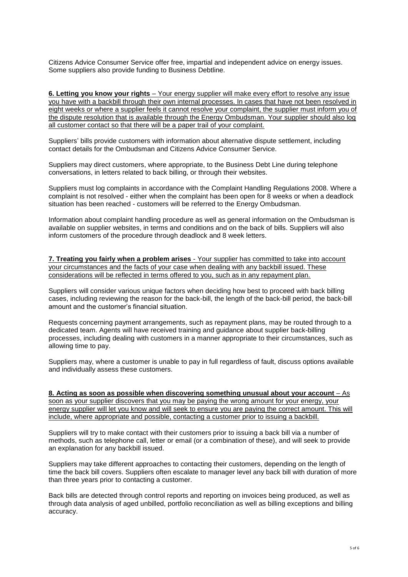Citizens Advice Consumer Service offer free, impartial and independent advice on energy issues. Some suppliers also provide funding to Business Debtline.

**6. Letting you know your rights** – Your energy supplier will make every effort to resolve any issue you have with a backbill through their own internal processes. In cases that have not been resolved in eight weeks or where a supplier feels it cannot resolve your complaint, the supplier must inform you of the dispute resolution that is available through the Energy Ombudsman. Your supplier should also log all customer contact so that there will be a paper trail of your complaint.

Suppliers' bills provide customers with information about alternative dispute settlement, including contact details for the Ombudsman and Citizens Advice Consumer Service.

Suppliers may direct customers, where appropriate, to the Business Debt Line during telephone conversations, in letters related to back billing, or through their websites.

Suppliers must log complaints in accordance with the Complaint Handling Regulations 2008. Where a complaint is not resolved - either when the complaint has been open for 8 weeks or when a deadlock situation has been reached - customers will be referred to the Energy Ombudsman.

Information about complaint handling procedure as well as general information on the Ombudsman is available on supplier websites, in terms and conditions and on the back of bills. Suppliers will also inform customers of the procedure through deadlock and 8 week letters.

**7. Treating you fairly when a problem arises** - Your supplier has committed to take into account your circumstances and the facts of your case when dealing with any backbill issued. These considerations will be reflected in terms offered to you, such as in any repayment plan.

Suppliers will consider various unique factors when deciding how best to proceed with back billing cases, including reviewing the reason for the back-bill, the length of the back-bill period, the back-bill amount and the customer's financial situation.

Requests concerning payment arrangements, such as repayment plans, may be routed through to a dedicated team. Agents will have received training and guidance about supplier back-billing processes, including dealing with customers in a manner appropriate to their circumstances, such as allowing time to pay.

Suppliers may, where a customer is unable to pay in full regardless of fault, discuss options available and individually assess these customers.

**8. Acting as soon as possible when discovering something unusual about your account** – As soon as your supplier discovers that you may be paying the wrong amount for your energy, your energy supplier will let you know and will seek to ensure you are paying the correct amount. This will include, where appropriate and possible, contacting a customer prior to issuing a backbill.

Suppliers will try to make contact with their customers prior to issuing a back bill via a number of methods, such as telephone call, letter or email (or a combination of these), and will seek to provide an explanation for any backbill issued.

Suppliers may take different approaches to contacting their customers, depending on the length of time the back bill covers. Suppliers often escalate to manager level any back bill with duration of more than three years prior to contacting a customer.

Back bills are detected through control reports and reporting on invoices being produced, as well as through data analysis of aged unbilled, portfolio reconciliation as well as billing exceptions and billing accuracy.